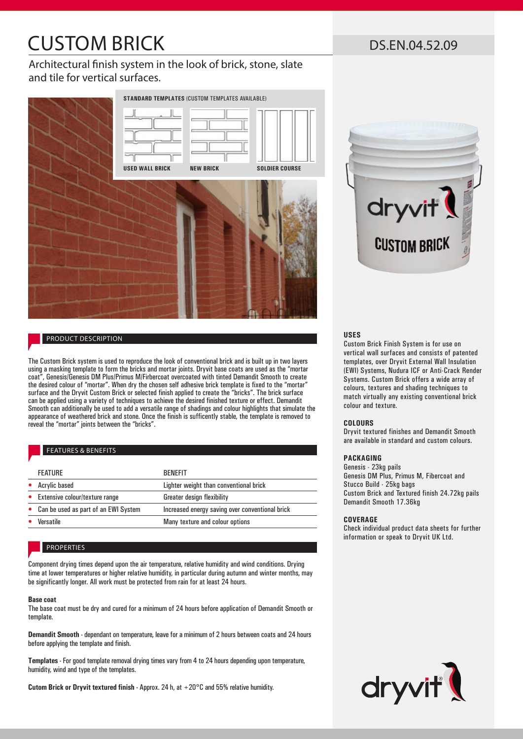# CUSTOM BRICK

# Architectural finish system in the look of brick, stone, slate and tile for vertical surfaces.



# PRODUCT DESCRIPTION

The Custom Brick system is used to reproduce the look of conventional brick and is built up in two layers using a masking template to form the bricks and mortar joints. Dryvit base coats are used as the "mortar coat", Genesis/Genesis DM Plus/Primus M/Firbercoat overcoated with tinted Demandit Smooth to create the desired colour of "mortar". When dry the chosen self adhesive brick template is fixed to the "mortar" surface and the Dryvit Custom Brick or selected finish applied to create the "bricks". The brick surface can be applied using a variety of techniques to achieve the desired finished texture or effect. Demandit Smooth can additionally be used to add a versatile range of shadings and colour highlights that simulate the appearance of weathered brick and stone. Once the finish is sufficently stable, the template is removed to reveal the "mortar" joints between the "bricks".

#### FEATURES & BENEFITS

| <b>FEATURE</b>                         | <b>BENFFIT</b>                                  |
|----------------------------------------|-------------------------------------------------|
| Acrylic based                          | Lighter weight than conventional brick          |
| Extensive colour/texture range         | Greater design flexibility                      |
| • Can be used as part of an EWI System | Increased energy saving over conventional brick |
| Versatile                              | Many texture and colour options                 |
|                                        |                                                 |

# PROPERTIES

Component drying times depend upon the air temperature, relative humidity and wind conditions. Drying time at lower temperatures or higher relative humidity, in particular during autumn and winter months, may be significantly longer. All work must be protected from rain for at least 24 hours.

#### **Base coat**

The base coat must be dry and cured for a minimum of 24 hours before application of Demandit Smooth or template.

**Demandit Smooth -** dependant on temperature, leave for a minimum of 2 hours between coats and 24 hours before applying the template and finish.

**Templates -** For good template removal drying times vary from 4 to 24 hours depending upon temperature, humidity, wind and type of the templates.

**Cutom Brick or Dryvit textured finish -** Approx. 24 h, at +20°C and 55% relative humidity.

# DS.EN.04.52.09



## **USES**

Custom Brick Finish System is for use on vertical wall surfaces and consists of patented templates, over Dryvit External Wall Insulation (EWI) Systems, Nudura ICF or Anti-Crack Render Systems. Custom Brick offers a wide array of colours, textures and shading techniques to match virtually any existing conventional brick colour and texture.

#### **COLOURS**

Dryvit textured finishes and Demandit Smooth are available in standard and custom colours.

## **PACKAGING**

Genesis - 23kg pails Genesis DM Plus, Primus M, Fibercoat and Stucco Build - 25kg bags Custom Brick and Textured finish 24.72kg pails Demandit Smooth 17.36kg

#### **COVERAGE**

Check individual product data sheets for further information or speak to Dryvit UK Ltd.